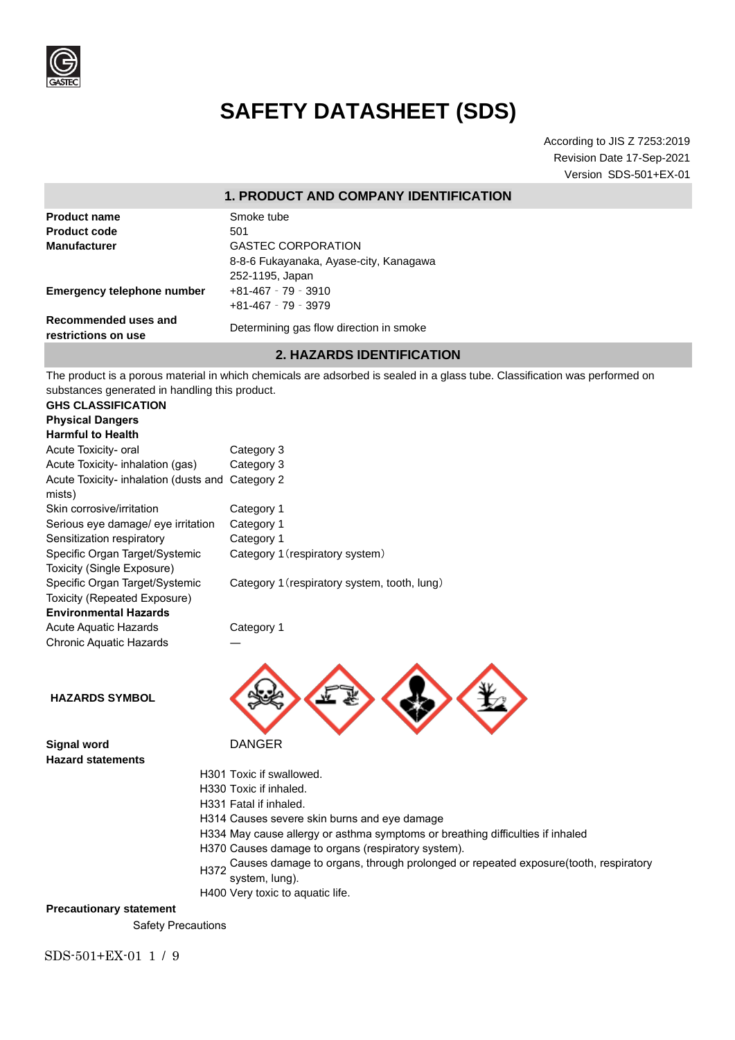

# **SAFETY DATASHEET (SDS)**

According to JIS Z 7253:2019 Revision Date 17-Sep-2021 Version SDS-501+EX-01

### **1. PRODUCT AND COMPANY IDENTIFICATION**

| <b>Product name</b>                            | Smoke tube                                                                                                                  |
|------------------------------------------------|-----------------------------------------------------------------------------------------------------------------------------|
| <b>Product code</b>                            | 501                                                                                                                         |
| <b>Manufacturer</b>                            | <b>GASTEC CORPORATION</b>                                                                                                   |
|                                                | 8-8-6 Fukayanaka, Ayase-city, Kanagawa                                                                                      |
|                                                | 252-1195, Japan                                                                                                             |
| <b>Emergency telephone number</b>              | $+81 - 467 - 79 - 3910$                                                                                                     |
|                                                | $+81-467 - 79 - 3979$                                                                                                       |
| Recommended uses and<br>restrictions on use    | Determining gas flow direction in smoke                                                                                     |
|                                                | <b>2. HAZARDS IDENTIFICATION</b>                                                                                            |
| substances generated in handling this product. | The product is a porous material in which chemicals are adsorbed is sealed in a glass tube. Classification was performed on |
| <b>GHS CLASSIFICATION</b>                      |                                                                                                                             |
| <b>Physical Dangers</b>                        |                                                                                                                             |
| <b>Harmful to Health</b>                       |                                                                                                                             |
| Acute Tovicity, aral                           | Category 3                                                                                                                  |

| Acute Toxicity- oral                             | Category 3                                   |
|--------------------------------------------------|----------------------------------------------|
| Acute Toxicity- inhalation (gas)                 | Category 3                                   |
| Acute Toxicity- inhalation (dusts and Category 2 |                                              |
| mists)                                           |                                              |
| Skin corrosive/irritation                        | Category 1                                   |
| Serious eye damage/ eye irritation               | Category 1                                   |
| Sensitization respiratory                        | Category 1                                   |
| Specific Organ Target/Systemic                   | Category 1 (respiratory system)              |
| Toxicity (Single Exposure)                       |                                              |
| Specific Organ Target/Systemic                   | Category 1 (respiratory system, tooth, lung) |
| Toxicity (Repeated Exposure)                     |                                              |
| <b>Environmental Hazards</b>                     |                                              |
| Acute Aquatic Hazards                            | Category 1                                   |
| <b>Chronic Aquatic Hazards</b>                   |                                              |
|                                                  |                                              |

**HAZARDS SYMBOL**

**Signal word** DANGER **Hazard statements**

- 
- 
- H301 Toxic if swallowed.
- H330 Toxic if inhaled.
- H331 Fatal if inhaled.
- H314 Causes severe skin burns and eye damage
- H334 May cause allergy or asthma symptoms or breathing difficulties if inhaled
- H370 Causes damage to organs (respiratory system).
- H372 Causes damage to organs, through prolonged or repeated exposure(tooth, respiratory system, lung).
- H400 Very toxic to aquatic life.

# **Precautionary statement**

Safety Precautions

SDS-501+EX-01 1 / 9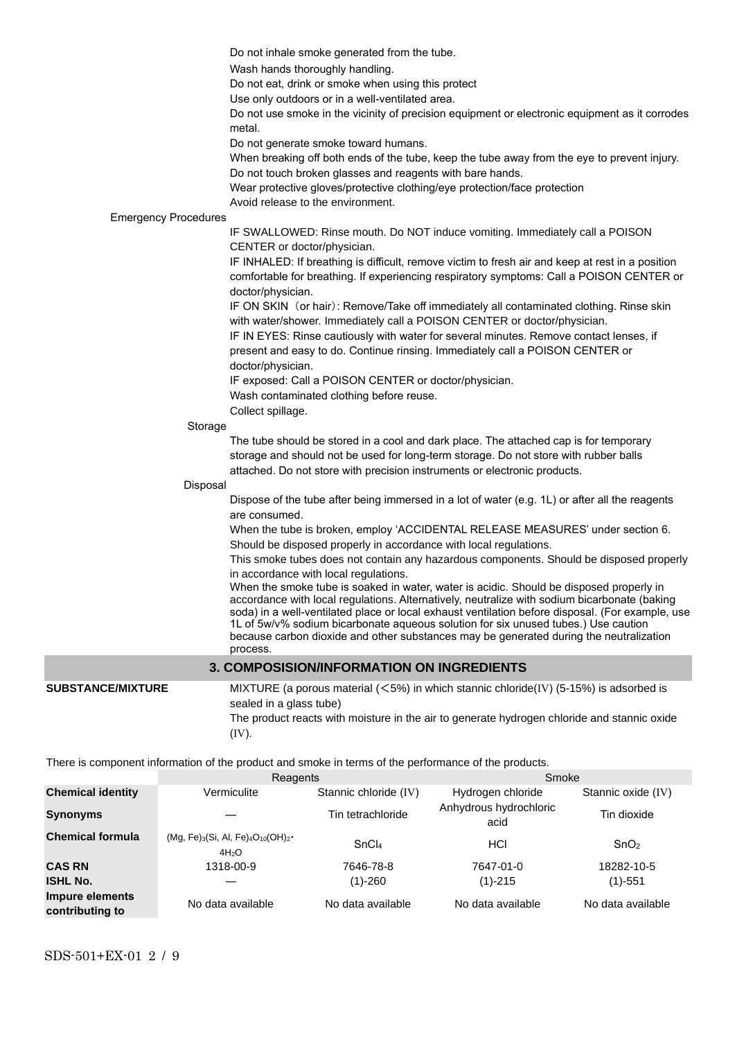Do not inhale smoke generated from the tube.

Wash hands thoroughly handling.

Do not eat, drink or smoke when using this protect

Use only outdoors or in a well-ventilated area.

Do not use smoke in the vicinity of precision equipment or electronic equipment as it corrodes metal.

Do not generate smoke toward humans.

When breaking off both ends of the tube, keep the tube away from the eye to prevent injury. Do not touch broken glasses and reagents with bare hands.

Wear protective gloves/protective clothing/eye protection/face protection

Avoid release to the environment.

#### Emergency Procedures

IF SWALLOWED: Rinse mouth. Do NOT induce vomiting. Immediately call a POISON CENTER or doctor/physician.

IF INHALED: If breathing is difficult, remove victim to fresh air and keep at rest in a position comfortable for breathing. If experiencing respiratory symptoms: Call a POISON CENTER or doctor/physician.

IF ON SKIN (or hair): Remove/Take off immediately all contaminated clothing. Rinse skin with water/shower. Immediately call a POISON CENTER or doctor/physician.

IF IN EYES: Rinse cautiously with water for several minutes. Remove contact lenses, if present and easy to do. Continue rinsing. Immediately call a POISON CENTER or doctor/physician.

IF exposed: Call a POISON CENTER or doctor/physician.

Wash contaminated clothing before reuse.

Collect spillage.

#### Storage

The tube should be stored in a cool and dark place. The attached cap is for temporary storage and should not be used for long-term storage. Do not store with rubber balls attached. Do not store with precision instruments or electronic products.

#### Disposal

Dispose of the tube after being immersed in a lot of water (e.g. 1L) or after all the reagents are consumed.

When the tube is broken, employ 'ACCIDENTAL RELEASE MEASURES' under section 6. Should be disposed properly in accordance with local regulations.

This smoke tubes does not contain any hazardous components. Should be disposed properly in accordance with local regulations.

When the smoke tube is soaked in water, water is acidic. Should be disposed properly in accordance with local regulations. Alternatively, neutralize with sodium bicarbonate (baking soda) in a well-ventilated place or local exhaust ventilation before disposal. (For example, use 1L of 5w/v% sodium bicarbonate aqueous solution for six unused tubes.) Use caution because carbon dioxide and other substances may be generated during the neutralization process.

# **3. COMPOSISION/INFORMATION ON INGREDIENTS**

**SUBSTANCE/MIXTURE** MIXTURE (a porous material (<5%) in which stannic chloride(IV) (5-15%) is adsorbed is sealed in a glass tube)

> The product reacts with moisture in the air to generate hydrogen chloride and stannic oxide (Ⅳ).

There is component information of the product and smoke in terms of the performance of the products.

|                                    | Reagents                                                          |                       | Smoke                          |                    |  |  |
|------------------------------------|-------------------------------------------------------------------|-----------------------|--------------------------------|--------------------|--|--|
| <b>Chemical identity</b>           | Vermiculite                                                       | Stannic chloride (IV) | Hydrogen chloride              | Stannic oxide (IV) |  |  |
| <b>Synonyms</b>                    |                                                                   | Tin tetrachloride     | Anhydrous hydrochloric<br>acid | Tin dioxide        |  |  |
| <b>Chemical formula</b>            | $(Mg, Fe)_{3}(Si, Al, Fe)_{4}O_{10}(OH)_{2}$<br>4H <sub>2</sub> O | SnCl <sub>4</sub>     | HCI                            | SnO <sub>2</sub>   |  |  |
| <b>CAS RN</b>                      | 1318-00-9                                                         | 7646-78-8             | 7647-01-0                      | 18282-10-5         |  |  |
| <b>ISHL No.</b>                    |                                                                   | $(1)-260$             | $(1) - 215$                    | $(1) - 551$        |  |  |
| Impure elements<br>contributing to | No data available                                                 | No data available     | No data available              | No data available  |  |  |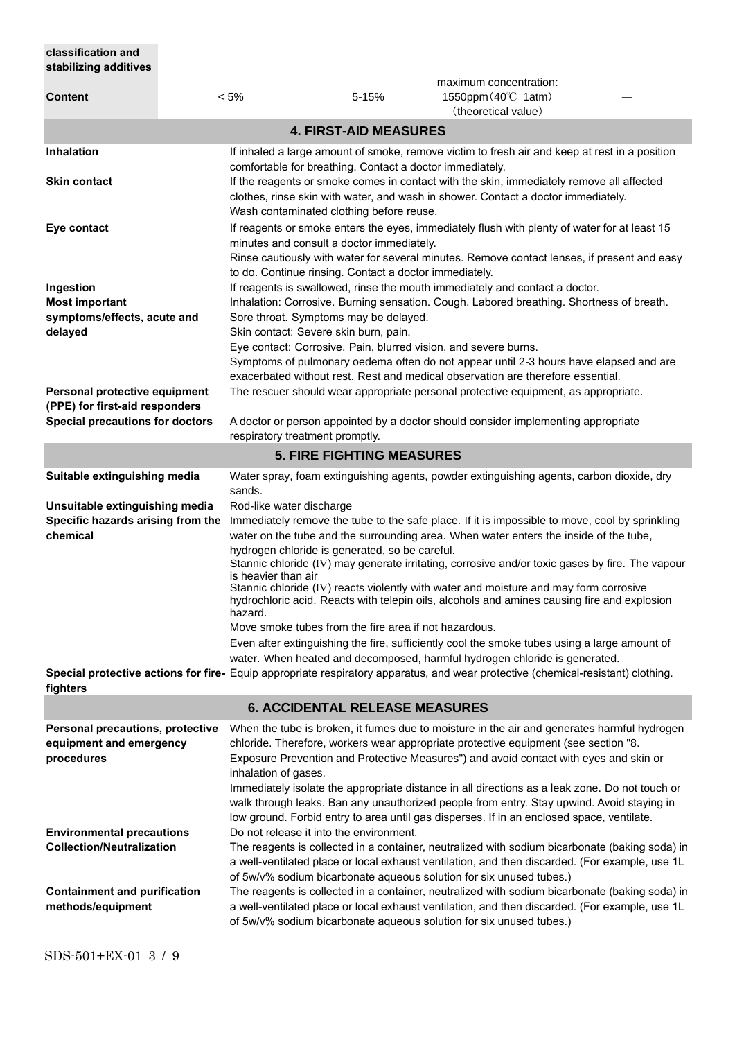| classification and<br>stabilizing additives                                                               |         |                                                                                                                                                                                                                                                                                       |                              |                                                                                                                                                                                                                                                                                                                                                                                                                                                                                                                                                                                    |  |
|-----------------------------------------------------------------------------------------------------------|---------|---------------------------------------------------------------------------------------------------------------------------------------------------------------------------------------------------------------------------------------------------------------------------------------|------------------------------|------------------------------------------------------------------------------------------------------------------------------------------------------------------------------------------------------------------------------------------------------------------------------------------------------------------------------------------------------------------------------------------------------------------------------------------------------------------------------------------------------------------------------------------------------------------------------------|--|
| <b>Content</b>                                                                                            | $< 5\%$ |                                                                                                                                                                                                                                                                                       | 5-15%                        | maximum concentration:<br>1550ppm (40°C 1atm)<br>(theoretical value)                                                                                                                                                                                                                                                                                                                                                                                                                                                                                                               |  |
|                                                                                                           |         |                                                                                                                                                                                                                                                                                       | <b>4. FIRST-AID MEASURES</b> |                                                                                                                                                                                                                                                                                                                                                                                                                                                                                                                                                                                    |  |
| Inhalation                                                                                                |         |                                                                                                                                                                                                                                                                                       |                              | If inhaled a large amount of smoke, remove victim to fresh air and keep at rest in a position                                                                                                                                                                                                                                                                                                                                                                                                                                                                                      |  |
| <b>Skin contact</b>                                                                                       |         | comfortable for breathing. Contact a doctor immediately.<br>If the reagents or smoke comes in contact with the skin, immediately remove all affected<br>clothes, rinse skin with water, and wash in shower. Contact a doctor immediately.<br>Wash contaminated clothing before reuse. |                              |                                                                                                                                                                                                                                                                                                                                                                                                                                                                                                                                                                                    |  |
| Eye contact                                                                                               |         | minutes and consult a doctor immediately.<br>to do. Continue rinsing. Contact a doctor immediately.                                                                                                                                                                                   |                              | If reagents or smoke enters the eyes, immediately flush with plenty of water for at least 15<br>Rinse cautiously with water for several minutes. Remove contact lenses, if present and easy                                                                                                                                                                                                                                                                                                                                                                                        |  |
| Ingestion<br><b>Most important</b><br>symptoms/effects, acute and<br>delayed                              |         | Sore throat. Symptoms may be delayed.<br>Skin contact: Severe skin burn, pain.<br>Eye contact: Corrosive. Pain, blurred vision, and severe burns.                                                                                                                                     |                              | If reagents is swallowed, rinse the mouth immediately and contact a doctor.<br>Inhalation: Corrosive. Burning sensation. Cough. Labored breathing. Shortness of breath.<br>Symptoms of pulmonary oedema often do not appear until 2-3 hours have elapsed and are<br>exacerbated without rest. Rest and medical observation are therefore essential.                                                                                                                                                                                                                                |  |
| Personal protective equipment<br>(PPE) for first-aid responders<br><b>Special precautions for doctors</b> |         | respiratory treatment promptly.                                                                                                                                                                                                                                                       |                              | The rescuer should wear appropriate personal protective equipment, as appropriate.<br>A doctor or person appointed by a doctor should consider implementing appropriate                                                                                                                                                                                                                                                                                                                                                                                                            |  |
|                                                                                                           |         | <b>5. FIRE FIGHTING MEASURES</b>                                                                                                                                                                                                                                                      |                              |                                                                                                                                                                                                                                                                                                                                                                                                                                                                                                                                                                                    |  |
| Suitable extinguishing media                                                                              |         | sands.                                                                                                                                                                                                                                                                                |                              | Water spray, foam extinguishing agents, powder extinguishing agents, carbon dioxide, dry                                                                                                                                                                                                                                                                                                                                                                                                                                                                                           |  |
| Unsuitable extinguishing media<br>Specific hazards arising from the<br>chemical                           |         | Rod-like water discharge<br>hydrogen chloride is generated, so be careful.<br>is heavier than air<br>hazard.<br>Move smoke tubes from the fire area if not hazardous.                                                                                                                 |                              | Immediately remove the tube to the safe place. If it is impossible to move, cool by sprinkling<br>water on the tube and the surrounding area. When water enters the inside of the tube,<br>Stannic chloride (IV) may generate irritating, corrosive and/or toxic gases by fire. The vapour<br>Stannic chloride (IV) reacts violently with water and moisture and may form corrosive<br>hydrochloric acid. Reacts with telepin oils, alcohols and amines causing fire and explosion<br>Even after extinguishing the fire, sufficiently cool the smoke tubes using a large amount of |  |
|                                                                                                           |         |                                                                                                                                                                                                                                                                                       |                              | water. When heated and decomposed, harmful hydrogen chloride is generated.<br>Special protective actions for fire- Equip appropriate respiratory apparatus, and wear protective (chemical-resistant) clothing.                                                                                                                                                                                                                                                                                                                                                                     |  |
| fighters                                                                                                  |         | <b>6. ACCIDENTAL RELEASE MEASURES</b>                                                                                                                                                                                                                                                 |                              |                                                                                                                                                                                                                                                                                                                                                                                                                                                                                                                                                                                    |  |
| Personal precautions, protective<br>equipment and emergency<br>procedures                                 |         | inhalation of gases.                                                                                                                                                                                                                                                                  |                              | When the tube is broken, it fumes due to moisture in the air and generates harmful hydrogen<br>chloride. Therefore, workers wear appropriate protective equipment (see section "8.<br>Exposure Prevention and Protective Measures") and avoid contact with eyes and skin or<br>Immediately isolate the appropriate distance in all directions as a leak zone. Do not touch or<br>walk through leaks. Ban any unauthorized people from entry. Stay upwind. Avoid staying in                                                                                                         |  |
| <b>Environmental precautions</b><br><b>Collection/Neutralization</b>                                      |         | Do not release it into the environment.                                                                                                                                                                                                                                               |                              | low ground. Forbid entry to area until gas disperses. If in an enclosed space, ventilate.<br>The reagents is collected in a container, neutralized with sodium bicarbonate (baking soda) in<br>a well-ventilated place or local exhaust ventilation, and then discarded. (For example, use 1L                                                                                                                                                                                                                                                                                      |  |
| <b>Containment and purification</b><br>methods/equipment                                                  |         |                                                                                                                                                                                                                                                                                       |                              | of 5w/v% sodium bicarbonate aqueous solution for six unused tubes.)<br>The reagents is collected in a container, neutralized with sodium bicarbonate (baking soda) in<br>a well-ventilated place or local exhaust ventilation, and then discarded. (For example, use 1L<br>of 5w/v% sodium bicarbonate aqueous solution for six unused tubes.)                                                                                                                                                                                                                                     |  |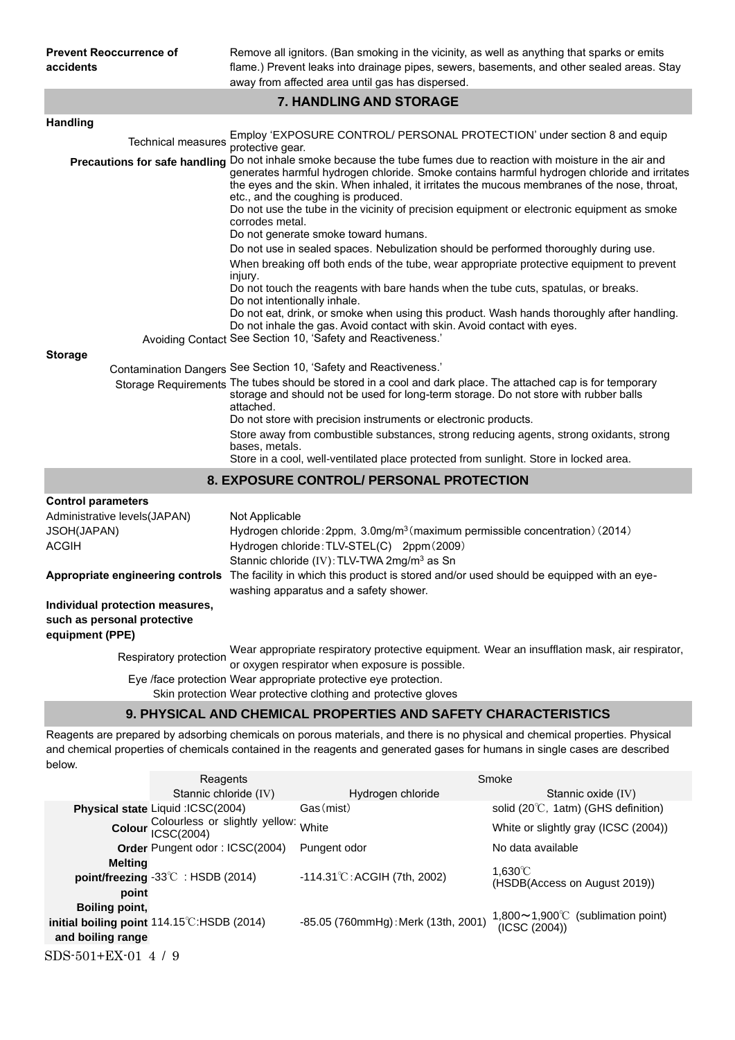Remove all ignitors. (Ban smoking in the vicinity, as well as anything that sparks or emits flame.) Prevent leaks into drainage pipes, sewers, basements, and other sealed areas. Stay away from affected area until gas has dispersed.

# **7. HANDLING AND STORAGE**

| <b>Handling</b>                                                                   |                                                                                                                                                                                                                                                                                                                                                                                                                                                                                                                      |
|-----------------------------------------------------------------------------------|----------------------------------------------------------------------------------------------------------------------------------------------------------------------------------------------------------------------------------------------------------------------------------------------------------------------------------------------------------------------------------------------------------------------------------------------------------------------------------------------------------------------|
| <b>Technical measures</b>                                                         | Employ 'EXPOSURE CONTROL/ PERSONAL PROTECTION' under section 8 and equip<br>protective gear.                                                                                                                                                                                                                                                                                                                                                                                                                         |
|                                                                                   | Precautions for safe handling Do not inhale smoke because the tube fumes due to reaction with moisture in the air and<br>generates harmful hydrogen chloride. Smoke contains harmful hydrogen chloride and irritates<br>the eyes and the skin. When inhaled, it irritates the mucous membranes of the nose, throat,<br>etc., and the coughing is produced.<br>Do not use the tube in the vicinity of precision equipment or electronic equipment as smoke<br>corrodes metal.<br>Do not generate smoke toward humans. |
|                                                                                   | Do not use in sealed spaces. Nebulization should be performed thoroughly during use.                                                                                                                                                                                                                                                                                                                                                                                                                                 |
|                                                                                   | When breaking off both ends of the tube, wear appropriate protective equipment to prevent<br>injury.<br>Do not touch the reagents with bare hands when the tube cuts, spatulas, or breaks.<br>Do not intentionally inhale.<br>Do not eat, drink, or smoke when using this product. Wash hands thoroughly after handling.<br>Do not inhale the gas. Avoid contact with skin. Avoid contact with eyes.<br>Avoiding Contact See Section 10, 'Safety and Reactiveness.'                                                  |
| <b>Storage</b>                                                                    |                                                                                                                                                                                                                                                                                                                                                                                                                                                                                                                      |
|                                                                                   | Contamination Dangers See Section 10, 'Safety and Reactiveness.'                                                                                                                                                                                                                                                                                                                                                                                                                                                     |
|                                                                                   | Storage Requirements The tubes should be stored in a cool and dark place. The attached cap is for temporary<br>storage and should not be used for long-term storage. Do not store with rubber balls<br>attached.<br>Do not store with precision instruments or electronic products.<br>Store away from combustible substances, strong reducing agents, strong oxidants, strong<br>bases, metals.<br>Store in a cool, well-ventilated place protected from sunlight. Store in locked area.                            |
|                                                                                   | 8. EXPOSURE CONTROL/ PERSONAL PROTECTION                                                                                                                                                                                                                                                                                                                                                                                                                                                                             |
| <b>Control parameters</b>                                                         |                                                                                                                                                                                                                                                                                                                                                                                                                                                                                                                      |
| Administrative levels(JAPAN)<br>JSOH(JAPAN)<br>ACGIH                              | Not Applicable<br>Hydrogen chloride: 2ppm, 3.0mg/m <sup>3</sup> (maximum permissible concentration) (2014)<br>Hydrogen chloride: TLV-STEL(C) 2ppm (2009)<br>Stannic chloride (IV): TLV-TWA 2mg/m <sup>3</sup> as Sn                                                                                                                                                                                                                                                                                                  |
|                                                                                   | Appropriate engineering controls The facility in which this product is stored and/or used should be equipped with an eye-<br>washing apparatus and a safety shower.                                                                                                                                                                                                                                                                                                                                                  |
| Individual protection measures,<br>such as personal protective<br>equipment (PPE) |                                                                                                                                                                                                                                                                                                                                                                                                                                                                                                                      |
| Respiratory protection                                                            | Wear appropriate respiratory protective equipment. Wear an insufflation mask, air respirator,<br>or oxygen respirator when exposure is possible.                                                                                                                                                                                                                                                                                                                                                                     |
|                                                                                   | Eye /face protection Wear appropriate protective eye protection.<br>Skin protection Wear protective clothing and protective gloves                                                                                                                                                                                                                                                                                                                                                                                   |
|                                                                                   | 9. PHYSICAL AND CHEMICAL PROPERTIES AND SAFETY CHARACTERISTICS                                                                                                                                                                                                                                                                                                                                                                                                                                                       |

Reagents are prepared by adsorbing chemicals on porous materials, and there is no physical and chemical properties. Physical and chemical properties of chemicals contained in the reagents and generated gases for humans in single cases are described below.

|                     | Reagents                                    |                                        | Smoke                                          |
|---------------------|---------------------------------------------|----------------------------------------|------------------------------------------------|
|                     | Stannic chloride (IV)                       | Hydrogen chloride                      | Stannic oxide (IV)                             |
|                     | Physical state Liquid: ICSC(2004)           | Gas(mist)                              | solid (20 $\degree$ C, 1atm) (GHS definition)  |
|                     | Colour Colourless or slightly yellow: White |                                        | White or slightly gray (ICSC (2004))           |
|                     | <b>Order Pungent odor: ICSC(2004)</b>       | Pungent odor                           | No data available                              |
| <b>Melting</b>      |                                             |                                        | $1.630^{\circ}$ C                              |
|                     | point/freezing -33°C: HSDB (2014)           | $-114.31^{\circ}$ C: ACGIH (7th, 2002) | (HSDB(Access on August 2019))                  |
| point               |                                             |                                        |                                                |
| Boiling point,      |                                             |                                        | $1,800 \sim 1,900^{\circ}$ (sublimation point) |
|                     | initial boiling point 114.15°C:HSDB (2014)  | -85.05 (760mmHg): Merk (13th, 2001)    | (ICSC (2004))                                  |
| and boiling range   |                                             |                                        |                                                |
| SDS-501+EX-01 4 / 9 |                                             |                                        |                                                |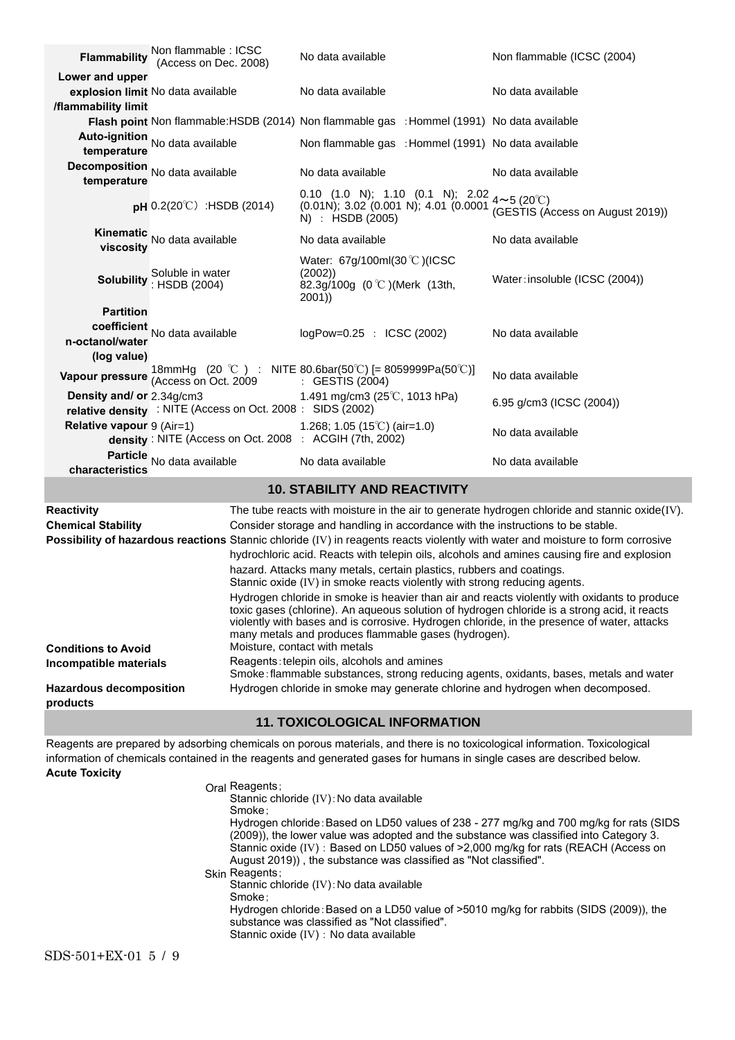| <b>Flammability</b>         | Non flammable : ICSC<br>(Access on Dec. 2008)              | No data available                                                                                                                     | Non flammable (ICSC (2004)                                                                        |
|-----------------------------|------------------------------------------------------------|---------------------------------------------------------------------------------------------------------------------------------------|---------------------------------------------------------------------------------------------------|
| Lower and upper             |                                                            |                                                                                                                                       |                                                                                                   |
|                             | explosion limit No data available                          | No data available                                                                                                                     | No data available                                                                                 |
| /flammability limit         |                                                            |                                                                                                                                       |                                                                                                   |
|                             |                                                            | Flash point Non flammable: HSDB (2014) Non flammable gas : Hommel (1991) No data available                                            |                                                                                                   |
| temperature                 | Auto-ignition No data available                            | Non flammable gas : Hommel (1991) No data available                                                                                   |                                                                                                   |
| temperature                 | Decomposition No data available                            | No data available                                                                                                                     | No data available                                                                                 |
|                             | <b>pH</b> $0.2(20^{\circ}\text{C})$ : HSDB (2014)          | 0.10 (1.0 N); 1.10 (0.1 N); 2.02 $4 \sim 5$ (20°C)<br>$(0.01N)$ ; 3.02 $(0.001 N)$ ; 4.01 $(0.0001$<br>N) : HSDB (2005)               | (GESTIS (Access on August 2019))                                                                  |
| viscositv                   | Kinematic<br>No data available                             | No data available                                                                                                                     | No data available                                                                                 |
|                             | Soluble in water<br>Solubility : HSDB (2004)               | Water: 67g/100ml(30 °C)(ICSC<br>(2002)<br>82.3g/100g (0 °C )(Merk (13th,<br>2001)                                                     | Water: insoluble (ICSC (2004))                                                                    |
| <b>Partition</b>            |                                                            |                                                                                                                                       |                                                                                                   |
|                             | coefficient No data available                              | logPow=0.25 : ICSC (2002)                                                                                                             | No data available                                                                                 |
| n-octanol/water             |                                                            |                                                                                                                                       |                                                                                                   |
| (log value)                 |                                                            |                                                                                                                                       |                                                                                                   |
|                             |                                                            | <b>Vapour pressure</b> $\frac{18 \text{mm}}{4 \text{c} \text{c} \text{c} \text{m}}$ (20 °C ) : NITE 80.6bar(50°C) [= 8059999Pa(50°C)] | No data available                                                                                 |
| Density and/ or 2.34g/cm3   | relative density : NITE (Access on Oct. 2008 : SIDS (2002) | 1.491 mg/cm3 (25 $\degree$ C, 1013 hPa)                                                                                               | 6.95 g/cm3 (ICSC (2004))                                                                          |
| Relative vapour $9$ (Air=1) | density : NITE (Access on Oct. 2008 : ACGIH (7th, 2002)    | 1.268; 1.05 (15°C) (air=1.0)                                                                                                          | No data available                                                                                 |
| characteristics             | Particle No data available                                 | No data available                                                                                                                     | No data available                                                                                 |
|                             |                                                            | <b>10. STABILITY AND REACTIVITY</b>                                                                                                   |                                                                                                   |
| Reactivity                  |                                                            |                                                                                                                                       | The tube reacts with moisture in the air to generate hydrogen chloride and stannic oxide $(IV)$ . |
| <b>Chemical Stability</b>   |                                                            | Consider storage and handling in accordance with the instructions to be stable.                                                       |                                                                                                   |
|                             |                                                            | Possibility of hazardous reactions Stannic chloride (IV) in reagents reacts violently with water and moisture to form corrosive       |                                                                                                   |

|                                            | <b>Possibility of hazardous reactions</b> Stannic chloride (IV) in reagents reacts violently with water and moisture to form corrosive                                                                                                                                                                                                                                               |
|--------------------------------------------|--------------------------------------------------------------------------------------------------------------------------------------------------------------------------------------------------------------------------------------------------------------------------------------------------------------------------------------------------------------------------------------|
|                                            | hydrochloric acid. Reacts with telepin oils, alcohols and amines causing fire and explosion                                                                                                                                                                                                                                                                                          |
|                                            | hazard. Attacks many metals, certain plastics, rubbers and coatings.                                                                                                                                                                                                                                                                                                                 |
|                                            | Stannic oxide (IV) in smoke reacts violently with strong reducing agents.                                                                                                                                                                                                                                                                                                            |
| <b>Conditions to Avoid</b>                 | Hydrogen chloride in smoke is heavier than air and reacts violently with oxidants to produce<br>toxic gases (chlorine). An aqueous solution of hydrogen chloride is a strong acid, it reacts<br>violently with bases and is corrosive. Hydrogen chloride, in the presence of water, attacks<br>many metals and produces flammable gases (hydrogen).<br>Moisture, contact with metals |
| Incompatible materials                     | Reagents: telepin oils, alcohols and amines<br>Smoke: flammable substances, strong reducing agents, oxidants, bases, metals and water                                                                                                                                                                                                                                                |
| <b>Hazardous decomposition</b><br>products | Hydrogen chloride in smoke may generate chlorine and hydrogen when decomposed.                                                                                                                                                                                                                                                                                                       |
|                                            | <b>11. TOXICOLOGICAL INFORMATION</b>                                                                                                                                                                                                                                                                                                                                                 |

Reagents are prepared by adsorbing chemicals on porous materials, and there is no toxicological information. Toxicological information of chemicals contained in the reagents and generated gases for humans in single cases are described below. **Acute Toxicity**

| Oral Reagents;<br>Stannic chloride (IV): No data available<br>Smoke:                                                                                                                                                                              |
|---------------------------------------------------------------------------------------------------------------------------------------------------------------------------------------------------------------------------------------------------|
| Hydrogen chloride: Based on LD50 values of 238 - 277 mg/kg and 700 mg/kg for rats (SIDS                                                                                                                                                           |
| (2009)), the lower value was adopted and the substance was classified into Category 3.<br>Stannic oxide (IV): Based on LD50 values of >2,000 mg/kg for rats (REACH (Access on<br>August 2019)), the substance was classified as "Not classified". |
| Skin Reagents;<br>Stannic chloride (IV): No data available                                                                                                                                                                                        |
| Smoke:                                                                                                                                                                                                                                            |
| Hydrogen chloride: Based on a LD50 value of >5010 mg/kg for rabbits (SIDS (2009)), the<br>substance was classified as "Not classified".<br>Stannic oxide (IV) : No data available                                                                 |
|                                                                                                                                                                                                                                                   |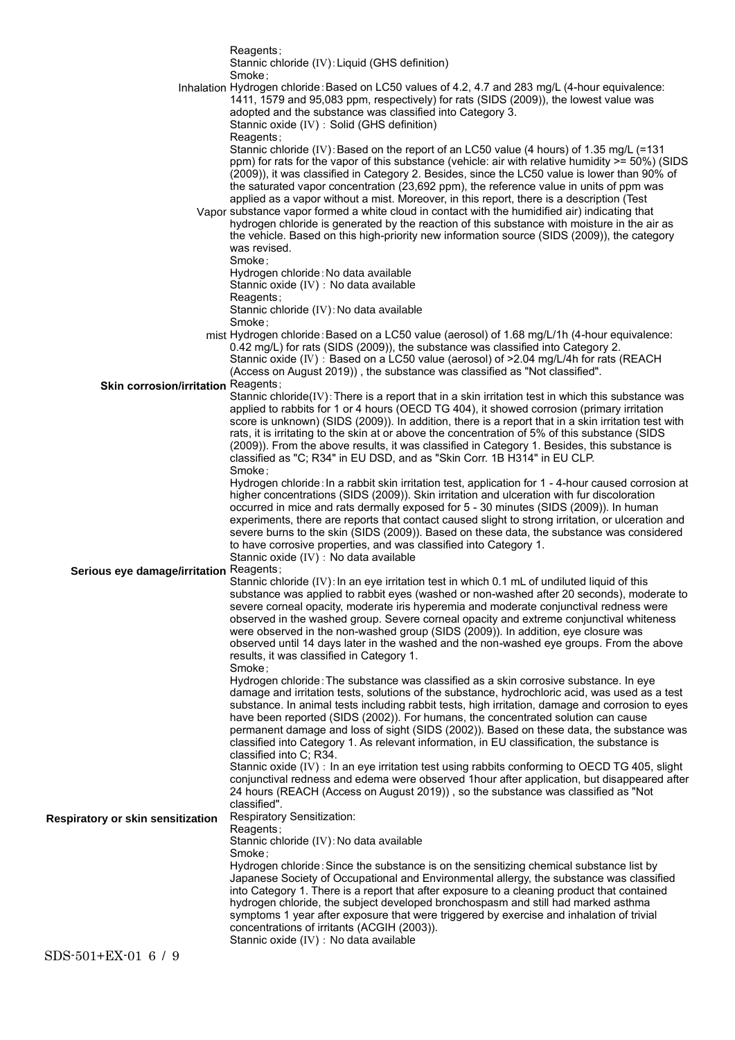|                                         | Reagents;                                                                                                                                                                                                                                                                                                                                                                                                                                                                                    |
|-----------------------------------------|----------------------------------------------------------------------------------------------------------------------------------------------------------------------------------------------------------------------------------------------------------------------------------------------------------------------------------------------------------------------------------------------------------------------------------------------------------------------------------------------|
|                                         | Stannic chloride (IV): Liquid (GHS definition)<br>Smoke:                                                                                                                                                                                                                                                                                                                                                                                                                                     |
|                                         | Inhalation Hydrogen chloride: Based on LC50 values of 4.2, 4.7 and 283 mg/L (4-hour equivalence:<br>1411, 1579 and 95,083 ppm, respectively) for rats (SIDS (2009)), the lowest value was                                                                                                                                                                                                                                                                                                    |
|                                         | adopted and the substance was classified into Category 3.<br>Stannic oxide (IV) : Solid (GHS definition)                                                                                                                                                                                                                                                                                                                                                                                     |
|                                         | Reagents;<br>Stannic chloride (IV): Based on the report of an LC50 value (4 hours) of 1.35 mg/L (=131                                                                                                                                                                                                                                                                                                                                                                                        |
|                                         | ppm) for rats for the vapor of this substance (vehicle: air with relative humidity >= 50%) (SIDS<br>(2009)), it was classified in Category 2. Besides, since the LC50 value is lower than 90% of<br>the saturated vapor concentration (23,692 ppm), the reference value in units of ppm was                                                                                                                                                                                                  |
|                                         | applied as a vapor without a mist. Moreover, in this report, there is a description (Test<br>Vapor substance vapor formed a white cloud in contact with the humidified air) indicating that<br>hydrogen chloride is generated by the reaction of this substance with moisture in the air as                                                                                                                                                                                                  |
|                                         | the vehicle. Based on this high-priority new information source (SIDS (2009)), the category<br>was revised.<br>Smoke:                                                                                                                                                                                                                                                                                                                                                                        |
|                                         | Hydrogen chloride: No data available<br>Stannic oxide (IV) : No data available                                                                                                                                                                                                                                                                                                                                                                                                               |
|                                         | Reagents;<br>Stannic chloride (IV): No data available                                                                                                                                                                                                                                                                                                                                                                                                                                        |
|                                         | Smoke;                                                                                                                                                                                                                                                                                                                                                                                                                                                                                       |
|                                         | mist Hydrogen chloride: Based on a LC50 value (aerosol) of 1.68 mg/L/1h (4-hour equivalence:<br>0.42 mg/L) for rats (SIDS (2009)), the substance was classified into Category 2.<br>Stannic oxide (IV) : Based on a LC50 value (aerosol) of >2.04 mg/L/4h for rats (REACH                                                                                                                                                                                                                    |
| Skin corrosion/irritation Reagents;     | (Access on August 2019)), the substance was classified as "Not classified".                                                                                                                                                                                                                                                                                                                                                                                                                  |
|                                         | Stannic chloride(IV): There is a report that in a skin irritation test in which this substance was<br>applied to rabbits for 1 or 4 hours (OECD TG 404), it showed corrosion (primary irritation                                                                                                                                                                                                                                                                                             |
|                                         | score is unknown) (SIDS (2009)). In addition, there is a report that in a skin irritation test with<br>rats, it is irritating to the skin at or above the concentration of 5% of this substance (SIDS<br>(2009)). From the above results, it was classified in Category 1. Besides, this substance is                                                                                                                                                                                        |
|                                         | classified as "C; R34" in EU DSD, and as "Skin Corr. 1B H314" in EU CLP.<br>Smoke;                                                                                                                                                                                                                                                                                                                                                                                                           |
|                                         | Hydrogen chloride: In a rabbit skin irritation test, application for 1 - 4-hour caused corrosion at<br>higher concentrations (SIDS (2009)). Skin irritation and ulceration with fur discoloration<br>occurred in mice and rats dermally exposed for 5 - 30 minutes (SIDS (2009)). In human<br>experiments, there are reports that contact caused slight to strong irritation, or ulceration and<br>severe burns to the skin (SIDS (2009)). Based on these data, the substance was considered |
|                                         | to have corrosive properties, and was classified into Category 1.<br>Stannic oxide (IV) : No data available                                                                                                                                                                                                                                                                                                                                                                                  |
| Serious eye damage/irritation Reagents; | Stannic chloride (IV): In an eye irritation test in which 0.1 mL of undiluted liquid of this                                                                                                                                                                                                                                                                                                                                                                                                 |
|                                         | substance was applied to rabbit eyes (washed or non-washed after 20 seconds), moderate to<br>severe corneal opacity, moderate iris hyperemia and moderate conjunctival redness were<br>observed in the washed group. Severe corneal opacity and extreme conjunctival whiteness<br>were observed in the non-washed group (SIDS (2009)). In addition, eye closure was                                                                                                                          |
|                                         | observed until 14 days later in the washed and the non-washed eye groups. From the above<br>results, it was classified in Category 1.<br>Smoke:                                                                                                                                                                                                                                                                                                                                              |
|                                         | Hydrogen chloride: The substance was classified as a skin corrosive substance. In eye                                                                                                                                                                                                                                                                                                                                                                                                        |
|                                         | damage and irritation tests, solutions of the substance, hydrochloric acid, was used as a test<br>substance. In animal tests including rabbit tests, high irritation, damage and corrosion to eyes<br>have been reported (SIDS (2002)). For humans, the concentrated solution can cause                                                                                                                                                                                                      |
|                                         | permanent damage and loss of sight (SIDS (2002)). Based on these data, the substance was<br>classified into Category 1. As relevant information, in EU classification, the substance is<br>classified into C; R34.                                                                                                                                                                                                                                                                           |
|                                         | Stannic oxide (IV) : In an eye irritation test using rabbits conforming to OECD TG 405, slight<br>conjunctival redness and edema were observed 1hour after application, but disappeared after<br>24 hours (REACH (Access on August 2019)), so the substance was classified as "Not                                                                                                                                                                                                           |
| Respiratory or skin sensitization       | classified".<br>Respiratory Sensitization:<br>Reagents;                                                                                                                                                                                                                                                                                                                                                                                                                                      |
|                                         | Stannic chloride (IV): No data available<br>Smoke;                                                                                                                                                                                                                                                                                                                                                                                                                                           |
|                                         | Hydrogen chloride: Since the substance is on the sensitizing chemical substance list by<br>Japanese Society of Occupational and Environmental allergy, the substance was classified<br>into Category 1. There is a report that after exposure to a cleaning product that contained<br>hydrogen chloride, the subject developed bronchospasm and still had marked asthma<br>symptoms 1 year after exposure that were triggered by exercise and inhalation of trivial                          |
|                                         | concentrations of irritants (ACGIH (2003)).<br>Stannic oxide (IV) : No data available                                                                                                                                                                                                                                                                                                                                                                                                        |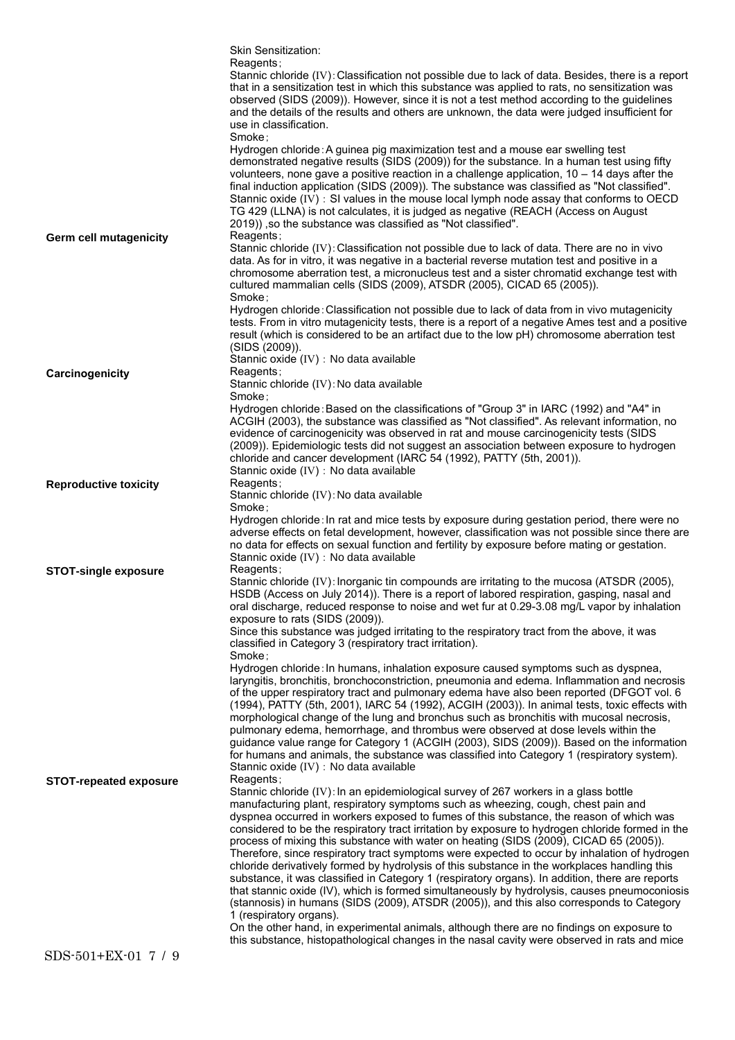|                               | Skin Sensitization:                                                                                                                                                                                                                                                                                                                                                                                                                                                                                                                                                                                                                                                                                                                                                                                                                                                                                                                                                                          |
|-------------------------------|----------------------------------------------------------------------------------------------------------------------------------------------------------------------------------------------------------------------------------------------------------------------------------------------------------------------------------------------------------------------------------------------------------------------------------------------------------------------------------------------------------------------------------------------------------------------------------------------------------------------------------------------------------------------------------------------------------------------------------------------------------------------------------------------------------------------------------------------------------------------------------------------------------------------------------------------------------------------------------------------|
|                               | Reagents;<br>Stannic chloride (IV): Classification not possible due to lack of data. Besides, there is a report<br>that in a sensitization test in which this substance was applied to rats, no sensitization was<br>observed (SIDS (2009)). However, since it is not a test method according to the guidelines<br>and the details of the results and others are unknown, the data were judged insufficient for<br>use in classification.<br>Smoke:                                                                                                                                                                                                                                                                                                                                                                                                                                                                                                                                          |
|                               | Hydrogen chloride: A guinea pig maximization test and a mouse ear swelling test<br>demonstrated negative results (SIDS (2009)) for the substance. In a human test using fifty<br>volunteers, none gave a positive reaction in a challenge application, $10 - 14$ days after the<br>final induction application (SIDS (2009)). The substance was classified as "Not classified".<br>Stannic oxide (IV) : SI values in the mouse local lymph node assay that conforms to OECD<br>TG 429 (LLNA) is not calculates, it is judged as negative (REACH (Access on August<br>2019)), so the substance was classified as "Not classified".                                                                                                                                                                                                                                                                                                                                                            |
| <b>Germ cell mutagenicity</b> | Reagents;<br>Stannic chloride (IV): Classification not possible due to lack of data. There are no in vivo<br>data. As for in vitro, it was negative in a bacterial reverse mutation test and positive in a<br>chromosome aberration test, a micronucleus test and a sister chromatid exchange test with<br>cultured mammalian cells (SIDS (2009), ATSDR (2005), CICAD 65 (2005)).<br>Smoke:                                                                                                                                                                                                                                                                                                                                                                                                                                                                                                                                                                                                  |
|                               | Hydrogen chloride: Classification not possible due to lack of data from in vivo mutagenicity<br>tests. From in vitro mutagenicity tests, there is a report of a negative Ames test and a positive<br>result (which is considered to be an artifact due to the low pH) chromosome aberration test<br>(SIDS (2009)).<br>Stannic oxide (IV) : No data available                                                                                                                                                                                                                                                                                                                                                                                                                                                                                                                                                                                                                                 |
| Carcinogenicity               | Reagents;                                                                                                                                                                                                                                                                                                                                                                                                                                                                                                                                                                                                                                                                                                                                                                                                                                                                                                                                                                                    |
|                               | Stannic chloride (IV): No data available<br>Smoke ;                                                                                                                                                                                                                                                                                                                                                                                                                                                                                                                                                                                                                                                                                                                                                                                                                                                                                                                                          |
|                               | Hydrogen chloride: Based on the classifications of "Group 3" in IARC (1992) and "A4" in<br>ACGIH (2003), the substance was classified as "Not classified". As relevant information, no                                                                                                                                                                                                                                                                                                                                                                                                                                                                                                                                                                                                                                                                                                                                                                                                       |
|                               | evidence of carcinogenicity was observed in rat and mouse carcinogenicity tests (SIDS<br>(2009)). Epidemiologic tests did not suggest an association between exposure to hydrogen<br>chloride and cancer development (IARC 54 (1992), PATTY (5th, 2001)).<br>Stannic oxide (IV) : No data available                                                                                                                                                                                                                                                                                                                                                                                                                                                                                                                                                                                                                                                                                          |
| <b>Reproductive toxicity</b>  | Reagents;                                                                                                                                                                                                                                                                                                                                                                                                                                                                                                                                                                                                                                                                                                                                                                                                                                                                                                                                                                                    |
|                               | Stannic chloride (IV): No data available<br>Smoke ;                                                                                                                                                                                                                                                                                                                                                                                                                                                                                                                                                                                                                                                                                                                                                                                                                                                                                                                                          |
|                               | Hydrogen chloride: In rat and mice tests by exposure during gestation period, there were no<br>adverse effects on fetal development, however, classification was not possible since there are<br>no data for effects on sexual function and fertility by exposure before mating or gestation.<br>Stannic oxide (IV) : No data available                                                                                                                                                                                                                                                                                                                                                                                                                                                                                                                                                                                                                                                      |
| <b>STOT-single exposure</b>   | Reagents;<br>Stannic chloride (IV): Inorganic tin compounds are irritating to the mucosa (ATSDR (2005),<br>HSDB (Access on July 2014)). There is a report of labored respiration, gasping, nasal and<br>oral discharge, reduced response to noise and wet fur at 0.29-3.08 mg/L vapor by inhalation<br>exposure to rats (SIDS (2009)).                                                                                                                                                                                                                                                                                                                                                                                                                                                                                                                                                                                                                                                       |
|                               | Since this substance was judged irritating to the respiratory tract from the above, it was<br>classified in Category 3 (respiratory tract irritation).<br>Smoke ;                                                                                                                                                                                                                                                                                                                                                                                                                                                                                                                                                                                                                                                                                                                                                                                                                            |
|                               | Hydrogen chloride: In humans, inhalation exposure caused symptoms such as dyspnea,<br>laryngitis, bronchitis, bronchoconstriction, pneumonia and edema. Inflammation and necrosis<br>of the upper respiratory tract and pulmonary edema have also been reported (DFGOT vol. 6<br>(1994), PATTY (5th, 2001), IARC 54 (1992), ACGIH (2003)). In animal tests, toxic effects with<br>morphological change of the lung and bronchus such as bronchitis with mucosal necrosis,<br>pulmonary edema, hemorrhage, and thrombus were observed at dose levels within the<br>guidance value range for Category 1 (ACGIH (2003), SIDS (2009)). Based on the information<br>for humans and animals, the substance was classified into Category 1 (respiratory system).                                                                                                                                                                                                                                    |
| <b>STOT-repeated exposure</b> | Stannic oxide (IV) : No data available<br>Reagents;                                                                                                                                                                                                                                                                                                                                                                                                                                                                                                                                                                                                                                                                                                                                                                                                                                                                                                                                          |
|                               | Stannic chloride (IV): In an epidemiological survey of 267 workers in a glass bottle<br>manufacturing plant, respiratory symptoms such as wheezing, cough, chest pain and<br>dyspnea occurred in workers exposed to fumes of this substance, the reason of which was<br>considered to be the respiratory tract irritation by exposure to hydrogen chloride formed in the<br>process of mixing this substance with water on heating (SIDS (2009), CICAD 65 (2005)).<br>Therefore, since respiratory tract symptoms were expected to occur by inhalation of hydrogen<br>chloride derivatively formed by hydrolysis of this substance in the workplaces handling this<br>substance, it was classified in Category 1 (respiratory organs). In addition, there are reports<br>that stannic oxide (IV), which is formed simultaneously by hydrolysis, causes pneumoconiosis<br>(stannosis) in humans (SIDS (2009), ATSDR (2005)), and this also corresponds to Category<br>1 (respiratory organs). |
|                               | On the other hand, in experimental animals, although there are no findings on exposure to<br>this substance, histopathological changes in the nasal cavity were observed in rats and mice                                                                                                                                                                                                                                                                                                                                                                                                                                                                                                                                                                                                                                                                                                                                                                                                    |
| SDS-501+EX-01 7 / 9           |                                                                                                                                                                                                                                                                                                                                                                                                                                                                                                                                                                                                                                                                                                                                                                                                                                                                                                                                                                                              |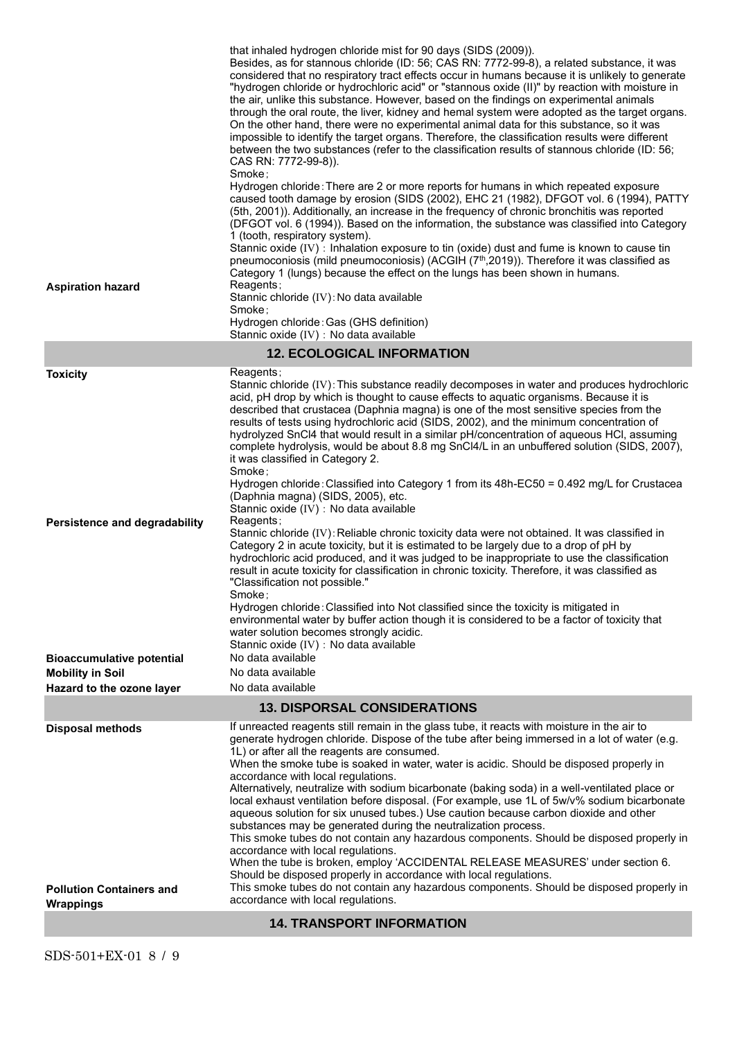| <b>Aspiration hazard</b>                                                                                                                            | that inhaled hydrogen chloride mist for 90 days (SIDS (2009)).<br>Besides, as for stannous chloride (ID: 56; CAS RN: 7772-99-8), a related substance, it was<br>considered that no respiratory tract effects occur in humans because it is unlikely to generate<br>"hydrogen chloride or hydrochloric acid" or "stannous oxide (II)" by reaction with moisture in<br>the air, unlike this substance. However, based on the findings on experimental animals<br>through the oral route, the liver, kidney and hemal system were adopted as the target organs.<br>On the other hand, there were no experimental animal data for this substance, so it was<br>impossible to identify the target organs. Therefore, the classification results were different<br>between the two substances (refer to the classification results of stannous chloride (ID: 56;<br>CAS RN: 7772-99-8)).<br>Smoke:<br>Hydrogen chloride: There are 2 or more reports for humans in which repeated exposure<br>caused tooth damage by erosion (SIDS (2002), EHC 21 (1982), DFGOT vol. 6 (1994), PATTY<br>(5th, 2001)). Additionally, an increase in the frequency of chronic bronchitis was reported<br>(DFGOT vol. 6 (1994)). Based on the information, the substance was classified into Category<br>1 (tooth, respiratory system).<br>Stannic oxide (IV) : Inhalation exposure to tin (oxide) dust and fume is known to cause tin<br>pneumoconiosis (mild pneumoconiosis) (ACGIH $(7th,2019)$ ). Therefore it was classified as<br>Category 1 (lungs) because the effect on the lungs has been shown in humans.<br>Reagents;<br>Stannic chloride (IV): No data available<br>Smoke:<br>Hydrogen chloride: Gas (GHS definition)<br>Stannic oxide (IV) : No data available |  |
|-----------------------------------------------------------------------------------------------------------------------------------------------------|-----------------------------------------------------------------------------------------------------------------------------------------------------------------------------------------------------------------------------------------------------------------------------------------------------------------------------------------------------------------------------------------------------------------------------------------------------------------------------------------------------------------------------------------------------------------------------------------------------------------------------------------------------------------------------------------------------------------------------------------------------------------------------------------------------------------------------------------------------------------------------------------------------------------------------------------------------------------------------------------------------------------------------------------------------------------------------------------------------------------------------------------------------------------------------------------------------------------------------------------------------------------------------------------------------------------------------------------------------------------------------------------------------------------------------------------------------------------------------------------------------------------------------------------------------------------------------------------------------------------------------------------------------------------------------------------------------------------------------------------------------|--|
|                                                                                                                                                     | <b>12. ECOLOGICAL INFORMATION</b>                                                                                                                                                                                                                                                                                                                                                                                                                                                                                                                                                                                                                                                                                                                                                                                                                                                                                                                                                                                                                                                                                                                                                                                                                                                                                                                                                                                                                                                                                                                                                                                                                                                                                                                   |  |
| <b>Toxicity</b><br><b>Persistence and degradability</b><br><b>Bioaccumulative potential</b><br><b>Mobility in Soil</b><br>Hazard to the ozone layer | Reagents;<br>Stannic chloride (IV): This substance readily decomposes in water and produces hydrochloric<br>acid, pH drop by which is thought to cause effects to aquatic organisms. Because it is<br>described that crustacea (Daphnia magna) is one of the most sensitive species from the<br>results of tests using hydrochloric acid (SIDS, 2002), and the minimum concentration of<br>hydrolyzed SnCl4 that would result in a similar pH/concentration of aqueous HCI, assuming<br>complete hydrolysis, would be about 8.8 mg SnCl4/L in an unbuffered solution (SIDS, 2007),<br>it was classified in Category 2.<br>Smoke:<br>Hydrogen chloride: Classified into Category 1 from its 48h-EC50 = 0.492 mg/L for Crustacea<br>(Daphnia magna) (SIDS, 2005), etc.<br>Stannic oxide (IV) : No data available<br>Reagents;<br>Stannic chloride (IV): Reliable chronic toxicity data were not obtained. It was classified in<br>Category 2 in acute toxicity, but it is estimated to be largely due to a drop of pH by<br>hydrochloric acid produced, and it was judged to be inappropriate to use the classification<br>result in acute toxicity for classification in chronic toxicity. Therefore, it was classified as<br>"Classification not possible."<br>Smoke;<br>Hydrogen chloride: Classified into Not classified since the toxicity is mitigated in<br>environmental water by buffer action though it is considered to be a factor of toxicity that<br>water solution becomes strongly acidic.<br>Stannic oxide (IV) : No data available<br>No data available<br>No data available<br>No data available                                                                                                                                   |  |
|                                                                                                                                                     | <b>13. DISPORSAL CONSIDERATIONS</b>                                                                                                                                                                                                                                                                                                                                                                                                                                                                                                                                                                                                                                                                                                                                                                                                                                                                                                                                                                                                                                                                                                                                                                                                                                                                                                                                                                                                                                                                                                                                                                                                                                                                                                                 |  |
| <b>Disposal methods</b><br><b>Pollution Containers and</b>                                                                                          | If unreacted reagents still remain in the glass tube, it reacts with moisture in the air to<br>generate hydrogen chloride. Dispose of the tube after being immersed in a lot of water (e.g.<br>1L) or after all the reagents are consumed.<br>When the smoke tube is soaked in water, water is acidic. Should be disposed properly in<br>accordance with local regulations.<br>Alternatively, neutralize with sodium bicarbonate (baking soda) in a well-ventilated place or<br>local exhaust ventilation before disposal. (For example, use 1L of 5w/v% sodium bicarbonate<br>aqueous solution for six unused tubes.) Use caution because carbon dioxide and other<br>substances may be generated during the neutralization process.<br>This smoke tubes do not contain any hazardous components. Should be disposed properly in<br>accordance with local regulations.<br>When the tube is broken, employ 'ACCIDENTAL RELEASE MEASURES' under section 6.<br>Should be disposed properly in accordance with local regulations.<br>This smoke tubes do not contain any hazardous components. Should be disposed properly in                                                                                                                                                                                                                                                                                                                                                                                                                                                                                                                                                                                                                          |  |
| <b>Wrappings</b>                                                                                                                                    | accordance with local regulations.                                                                                                                                                                                                                                                                                                                                                                                                                                                                                                                                                                                                                                                                                                                                                                                                                                                                                                                                                                                                                                                                                                                                                                                                                                                                                                                                                                                                                                                                                                                                                                                                                                                                                                                  |  |
| <b>14. TRANSPORT INFORMATION</b>                                                                                                                    |                                                                                                                                                                                                                                                                                                                                                                                                                                                                                                                                                                                                                                                                                                                                                                                                                                                                                                                                                                                                                                                                                                                                                                                                                                                                                                                                                                                                                                                                                                                                                                                                                                                                                                                                                     |  |